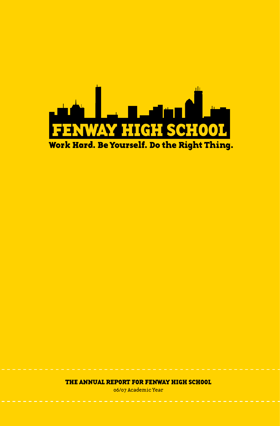

THE ANNUAL REPORT FOR FENWAY HIGH SCHOOL

06/07 Academic Year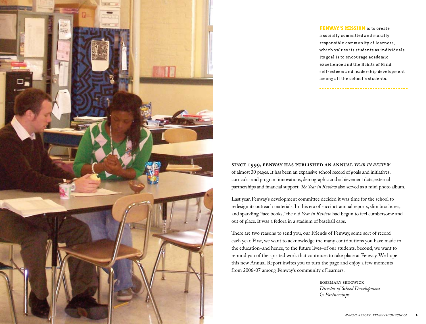

## FENWAY'S MISSION is to create a socially committed and morally responsible community of learners, which values its students as individuals. Its goal is to encourage academic excellence and the Habits of Mind, self-esteem and leadership development among all the school's students.

**SINCE , FENWAY HAS PUBLISHED AN ANNUAL** *YEAR IN REVIEW* of almost 30 pages. It has been an expansive school record of goals and initiatives, curricular and program innovations, demographic and achievement data, external partnerships and financial support. *Te Year in Review* also served as a mini photo album.

Last year, Fenway's development committee decided it was time for the school to redesign its outreach materials. In this era of succinct annual reports, slim brochures, and sparkling "face books," the old *Year in Review* had begun to feel cumbersome and out of place. It was a fedora in a stadium of baseball caps.

There are two reasons to send you, our Friends of Fenway, some sort of record each year. First, we want to acknowledge the many contributions you have made to the education–and hence, to the future lives–of our students. Second, we want to remind you of the spirited work that continues to take place at Fenway. We hope this new Annual Report invites you to turn the page and enjoy a few moments from 2006-07 among Fenway's community of learners.

> ROSEMARY SEDGWICK *Director of School Development & Partnerships*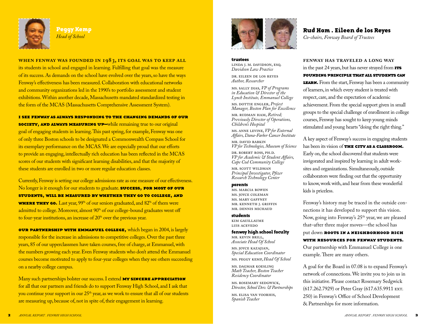

Peaav Kemp *Head of School*

**WHEN FENWAY WAS FOUNDED IN , ITS GOAL WAS TO KEEP ALL** its students in school and engaged in learning. Fulfilling that goal was the measure of its success. As demands on the school have evolved over the years, so have the ways Fenway's effectiveness has been measured. Collaboration with educational networks and community organizations led in the 1990's to portfolio assessment and student exhibitions. Within another decade, Massachusetts mandated standardized testing in the form of the MCAS (Massachusetts Comprehensive Assessment System).

#### I SEE FENWAY AS ALWAYS RESPONDING TO THE CHANGING DEMANDS OF OUR

society, AND ALWAYS MEASURING UP-while remaining true to our original goal of engaging students in learning. This past spring, for example, Fenway was one of only three Boston schools to be designated a Commonwealth Compass School for its exemplary performance on the MCAS. We are especially proud that our efforts to provide an engaging, intellectually rich education has been reflected in the MCAS scores of our students with significant learning disabilities, and that the majority of these students are enrolled in two or more regular education classes.

Currently, Fenway is setting our college admissions rate as one measure of our effectiveness. No longer is it enough for our students to graduate. **SUCCESS, FOR MOST OF OUR** STUDENTS, WILL BE MEASURED BY WHETHER THEY GO TO COLLEGE. AND **WHERE THEY GO.** Last year, 99% of our seniors graduated, and  $82\%$  of them were admitted to college. Moreover, almost 90% of our college-bound graduates went off to four-year institutions, an increase of 20% over the previous year.

our PARTNERSHIP WITH EMMANUEL COLLEGE, which began in 2004, is largely responsible for the increase in admissions to competitive colleges. Over the past three years, 85 of our upperclassmen have taken courses, free of charge, at Emmanuel, with the numbers growing each year. Even Fenway students who don't attend the Emmanuel courses become motivated to apply to four-year colleges when they see others succeeding on a nearby college campus.

Many such partnerships bolster our success. I extend **MY SINCERE APPRECIATION** for all that our partners and friends do to support Fenway High School, and I ask that you continue your support in our  $25<sup>th</sup>$  year, as we work to ensure that all of our students are measuring up, because of, not in spite of, their engagement in learning.



trustees LINDA J. M. DAVIDSON, ESQ. *Davidson Law Practice*

DR. EILEEN DE LOS REYES *Author, Researcher*

MS. SALLY DIAS, *VP of Programs in Education & Director of the Lynch Institute, Emmanuel College*

MS. DOTTIE ENGLER, *Project Manager, Boston Plan for Excellence*

MR. RUDMAN HAM, *Retired; Previously Director of Operations, Children's Hospital*

MS. ANNE LEVINE, *VP for External Affairs, Dana-Farber Cancer Institute*

MR. DAVID RABKIN *VP for Technologies, Museum of Science*

DR. ROBERT ROSS, PH.D. *VP for Academic & Student Affairs, Cape Cod Community College*

MR. SCOTT WILDMAN *Principal Investigator, Pfizer Research Technology Center*

#### parents

MS. MARCIA BOWEN MS. JOYCE COLEMAN MS. MARY GAFFNEY MR. KENNETH J. GRIFFIN MR. DENNIS MICHAUD

#### students

KIM GAUILLAUME LUIS ACEVEDO

#### fenway high school faculty

MR. KEVIN BRILL, *Associate Head Of School* MS. JOYCE KAZAJIAN, *Special Education Coordinator* MS. PEGGY KEMP, *Head Of School* 

MS. DAGMAR KOESLING *Math Teacher, Boston Teacher Residency Coordinator*

MS. ROSEMARY SEDGWICK, *Director, School Dev. & Partnerships*

MS. ELISA VAN VOORHIS, *Spanish Teacher*

## Rud Ham. Eileen de los Reyes

*Co-chairs, Fenway Board of Trustees*

**FENWAY HAS TRAVELED A LONG WAY** in the past 24 years, but has never strayed from  $TTS$ FOUNDING PRINCIPLE THAT ALL STUDENTS CAN **LEARN.** From the start, Fenway has been a community of learners, in which every student is treated with respect, care, and the expectation of academic achievement. From the special support given in small groups to the special challenge of enrollment in college courses, Fenway has sought to keep young minds stimulated and young hearts "doing the right thing."

A key aspect of Fenway's success in engaging students has been its vision of THE CITY AS A CLASSROOM. Early on, the school discovered that students were invigorated and inspired by learning in adult worksites and organizations. Simultaneously, outside collaborators were finding out that the opportunity to know, work with, and hear from these wonderful kids is priceless.

Fenway's history may be traced in the outside connections it has developed to support this vision. Now, going into Fenway's 25<sup>th</sup> year, we are pleased that–after three major moves—the school has

## put down ROOTS IN A NEIGHBORHOOD RICH

### WITH RESOURCES FOR FENWAY STUDENTS.

Our partnership with Emmanuel College is one example. There are many others.

A goal for the Board in 07.08 is to expand Fenway's network of connections. We invite you to join us in this initiative. Please contact Rosemary Sedgwick (617.262.7929) or Peter Gray (617.635.9911 EXT. 250) in Fenway's Office of School Development & Partnerships for more information.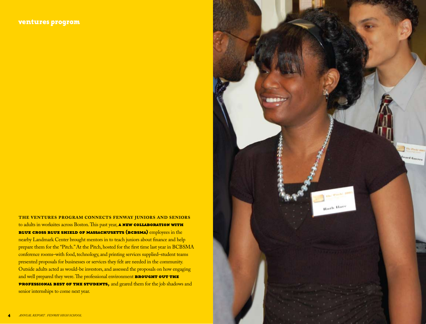**THE VENTURES PROGRAM CONNECTS FENWAY JUNIORS AND SENIORS** to adults in worksites across Boston. This past year, **A NEW COLLABORATION WITH** BLUE CROSS BLUE SHIELD OF MASSACHUSETTS (BCBSMA) employees in the nearby Landmark Center brought mentors in to teach juniors about finance and help prepare them for the "Pitch." At the Pitch, hosted for the first time last year in BCBSMA conference rooms–with food, technology, and printing services supplied–student teams presented proposals for businesses or services they felt are needed in the community. Outside adults acted as would-be investors, and assessed the proposals on how engaging and well prepared they were. The professional environment **BROUGHT OUT THE** PROFESSIONAL BEST OF THE STUDENTS, and geared them for the job shadows and senior internships to come next year.

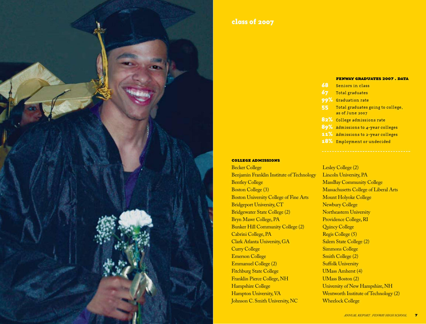

## class of 2007

#### FENWAY GRADUATES 2007. DATA

- 68 Seniors in class
- 67 Total graduates
- 99% Graduation rate
- 55 Total graduates going to college, as of June 2007
- 82% College admissions rate
- 89% Admissions to 4-year colleges
- 11% Admissions to 2-year colleges
- 18% Employment or undecided

#### COLLEGE ADMISSIONS

Becker College Benjamin Franklin Institute of Technology Bentley College Boston College (3) Boston University College of Fine Arts Bridgeport University, CT Bridgewater State College (2) Bryn Mawr College, PA Bunker Hill Community College (2) Cabrini College, PA Clark Atlanta University, GA Curry College Emerson College Emmanuel College (2) Fitchburg State College Franklin Pierce College, NH Hampshire College Hampton University, VA Johnson C. Smith University, NC

Lesley College (2) Lincoln University, PA MassBay Community College Massachusetts College of Liberal Arts Mount Holyoke College Newbury College Northeastern University Providence College, RI Quincy College Regis College (5) Salem State College (2) Simmons College Smith College (2) **Suffolk University** UMass Amherst (4) UMass Boston (2) University of New Hampshire, NH Wentworth Institute of Technology (2) Wheelock College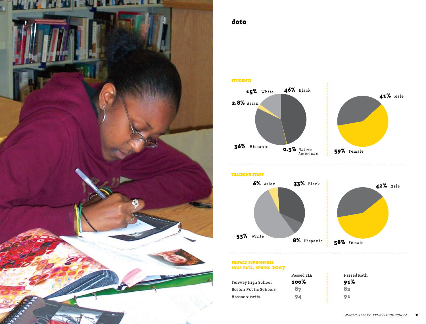

## data

STUDENTS



**TEACHING STAFF** 



FENWAY SOPHOMORES MCAS DATA. SPRING 2007

|                              | Passed ELA | Passed Math |
|------------------------------|------------|-------------|
| Fenway High School           | 100%       | 91%         |
| <b>Boston Public Schools</b> | 87         | ヌっ          |
| Massachusetts                | 94         | 91          |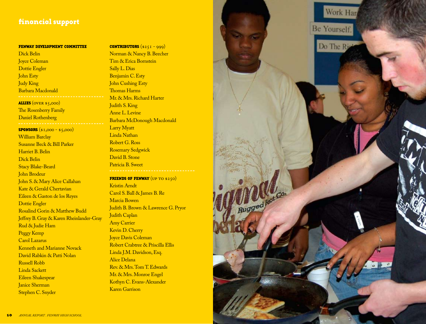## financial support

#### FENWAY DEVELOPMENT COMMITTEE

Dick Belin Joyce Coleman Dottie Engler John Esty Judy King Barbara Macdonald ALLIES (OVER \$5,000) The Rosenberry Family Daniel Rothenberg SPONSORS (\$1,000 - \$5,000) William Barclay Susanne Beck & Bill Parker Harriet B. Belin Dick Belin Stacy Blake-Beard John Brodeur John S. & Mary Alice Callahan Kate & Gerald Chertavian Eileen & Gaston de los Reyes Dottie Engler Rosalind Gorin & Matthew Budd Je ffrey B. Gray & Karen Rheinlander-Gray Rud & Judie Ham Peggy Kemp Carol Lazarus Kenneth and Marianne Novack David Rabkin & Patti Nolan Russell Robb Linda Sackett Eileen Shakespear Janice Sherman Stephen C. Snyder

<u>CONTRIBUTORS (\$251 - 999)</u> Norman & Nancy B. Beecher Tim & Erica Bornstein Sally L. Dias Benjamin C. Esty John Cushing Esty Thomas Harms Mr. & Mrs. Richard Harter Judith S. King Anne L. Levine Barbara McDonough Macdonald Larry Myatt Linda Nathan Robert G. Ross Rosemary Sedgwick David B. Stone Patricia B. Sweet

FRIENDS OF FENWAY  $(\texttt{UP TO $250})$ Kristin Arndt Carol S. Ball & James B. Re Marcia Bowen Judith B. Brown & Lawrence G. Pryor Judith Caplan Amy Carrier Kevin D. Cherry Joyce Davis Coleman Robert Crabtree & Priscilla Ellis Linda J.M. Davidson, Esq. Alice Delana Rev. & Mrs. Tom T. Edwards Mr. & Mrs. Monroe Engel Kothyn C. Evans-Alexander Karen Garrison

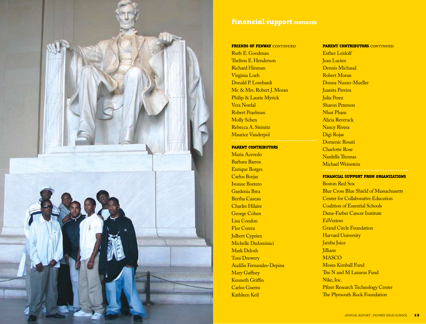

## financial support CONTINUED

#### FRIENDS OF FENWAY CONTINUED

Ruth E. Goodman Thelton E. Henderson Richard Hinman Virginia Loeb Donald P. Lombardi Mr. & Mrs. Robert J. Moran Philip & Laurie Myrick Vera Nordal Robert Pearlman Molly Schen Rebecca A. Steinitz Maurice Vanderpol

### PARENT CONTRIBUTORS

Maria Acevedo Barbara Barros Enrique Borges Carlos Borjas Ivonne Borrero Gardenia Brea Bertha Cazeau Charles Hilaire George Cohen Lisa Condon Flor Correa Julbert Cyprien Michelle Dedominici Mark Delosh Toni Drewery Audilia Fernandes-Depina Mary Gaffney Kenneth Griffin Carlos Guerra Kathleen Keil

### PARENT CONTRIBUTORS CONTINUED Esther Leidolf

Jean Lucien Dennis Michaud Robert Moran Donna Nuzzo-Mueller Juanita Pereira Julia Perez Sharon Peterson Nhut Pham Alicia Reverack Nancy Rivera Digi Rojas Domenic Rosati Charlotte Rose Nardella Thomas Michael Weinstein

#### FINANCIAL SUPPORT FROM ORGANIZATIONS

Boston Red Sox Blue Cross Blue Shield of Massachusetts Center for Collaborative Education Coalition of Essential Schools Dana-Farber Cancer Institute EdVestors Grand Circle Foundation **Harvard University** Jamba Juice **Jillians MASCO** Moses Kimball Fund The N and M Lazarus Fund Nike, Inc. Pfizer Research Technology Center The Plymouth Rock Foundation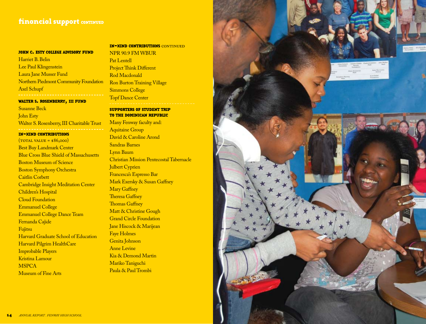## financial support CONTINUED

### JOHN C. ESTY COLLEGE ADVISORY FUND

Harriet B. Belin Lee Paul Klingenstein Laura Jane Musser Fund Northern Piedmont Community Foundation Axel Schupf

### <mark>WALTER S. ROSENBERRY, III FUND</mark>

Susanne Beck John Esty Walter S. Rosenberry, III Charitable Trust

### <mark>IN-KIND CONTRIBUTIONS</mark>

 $(TOTAL VALUE = $86,000)$ Best Buy Landmark Center Blue Cross Blue Shield of Massachusetts Boston Museum of Science Boston Symphony Orchestra Caitlin Corbett Cambridge Insight Meditation Center Children's Hospital Cloud Foundation Emmanuel College Emmanuel College Dance Team Fernanda Cajide Fujitsu Harvard Graduate School of Education Harvard Pilgrim HealthCare Improbable Players Kristina Lamour **MSPCA** Museum of Fine Arts

### <mark>IN-KIND CONTRIBUTIONS</mark> CONTINUED NPR 90.9 FM WBUR

Pat Lentell Project Think Different Rod Macdonald Ron Burton Training Village Simmons College Topf Dance Center SUPPORTERS OF STUDENT TRIP TO THE DOMINICAN REPUBLIC

## Many Fenway faculty and: Aquitaine Group David & Caroline Arond Sandras Barnes Lynn Baum Christian Mission Pentecostal Tabernacle **Julbert Cyprien** Francesca's Espresso Bar Mark Exersky & Susan Ga ffney Mary Gaffney Theresa Gaffney Thomas Gaffney' Matt & Christine Gough Grand Circle Foundation Jane Hiscock & Marijean Faye Holmes Genita Johnson Anne Levine Kia & Demond Martin Mariko Taniguchi Paula & Paul Trombi

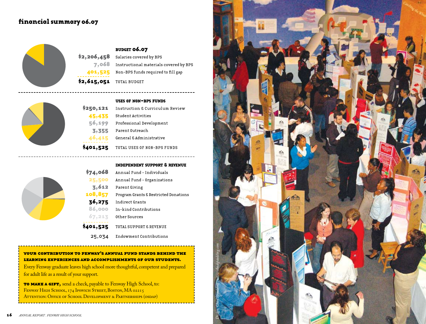## financial summary 06.07



**BUDGET 06.07**  $$2,206,458$  Salaries covered by BPS  $7,068$  Instructional materials covered by BPS 401,525 Non-BPS funds required to fill gap \$2,615,051 TOTAL BUDGET



|           | <b>USES OF NON-BPS FUNDS</b>               |
|-----------|--------------------------------------------|
| \$250,121 | <b>Instruction &amp; Curriculum Review</b> |
| 45,435    | Student Activities                         |
| 56,199    | Professional Development                   |
| 3,355     | Parent Outreach                            |
| 46,415    | General & Administrative                   |
| \$401,525 | TOTAL USES OF NON-BPS FUNDS                |

### INDEPENDENT SUPPORT & REVENUE

---------------------

| \$74,068  | Annual Fund - Individuals             |
|-----------|---------------------------------------|
| 25,500    | Annual Fund - Organizations           |
| 3,612     | Parent Giving                         |
| 108,857   | Program Grants & Restricted Donations |
| 36,275    | Indirect Grants                       |
| 86,000    | In-kind Contributions                 |
| 67,213    | Other Sources                         |
| \$401,525 | TOTAL SUPPORT & REVENUE               |
| 25,034    | Endowment Contributions               |

### <u>zour contribution to fenway's annual fund stands behind the </u> LEARNING EXPERIENCES AND ACCOMPLISHMENTS OF OUR STUDENTS.

Every Fenway graduate leaves high school more thoughtful, competent and prepared for adult life as a result of your support.

TO MAKE A GIFT, send a check, payable to Fenway High School, to: FENWAY HIGH SCHOOL, 174 IPSWICH STREET, BOSTON, MA 02215 ATTENTION: OFFICE OF SCHOOL DEVELOPMENT & PARTNERSHIPS (OSDAP)